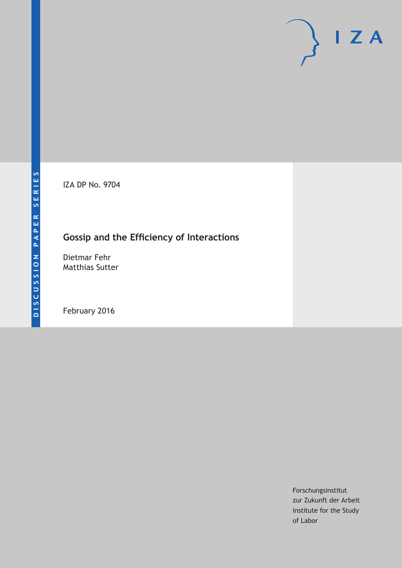IZA DP No. 9704

# **Gossip and the Efficiency of Interactions**

Dietmar Fehr Matthias Sutter

February 2016

Forschungsinstitut zur Zukunft der Arbeit Institute for the Study of Labor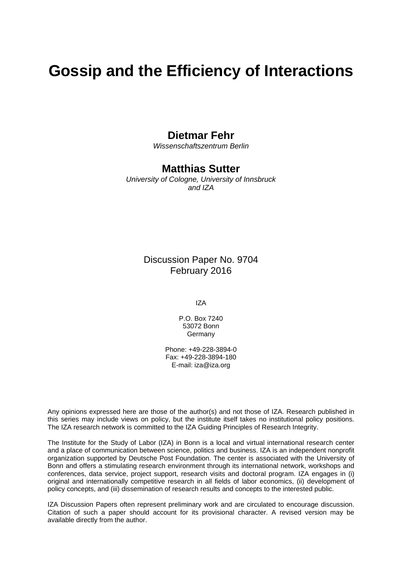# **Gossip and the Efficiency of Interactions**

### **Dietmar Fehr**

*Wissenschaftszentrum Berlin* 

### **Matthias Sutter**

*University of Cologne, University of Innsbruck and IZA* 

> Discussion Paper No. 9704 February 2016

> > IZA

P.O. Box 7240 53072 Bonn Germany

Phone: +49-228-3894-0 Fax: +49-228-3894-180 E-mail: iza@iza.org

Any opinions expressed here are those of the author(s) and not those of IZA. Research published in this series may include views on policy, but the institute itself takes no institutional policy positions. The IZA research network is committed to the IZA Guiding Principles of Research Integrity.

The Institute for the Study of Labor (IZA) in Bonn is a local and virtual international research center and a place of communication between science, politics and business. IZA is an independent nonprofit organization supported by Deutsche Post Foundation. The center is associated with the University of Bonn and offers a stimulating research environment through its international network, workshops and conferences, data service, project support, research visits and doctoral program. IZA engages in (i) original and internationally competitive research in all fields of labor economics, (ii) development of policy concepts, and (iii) dissemination of research results and concepts to the interested public.

IZA Discussion Papers often represent preliminary work and are circulated to encourage discussion. Citation of such a paper should account for its provisional character. A revised version may be available directly from the author.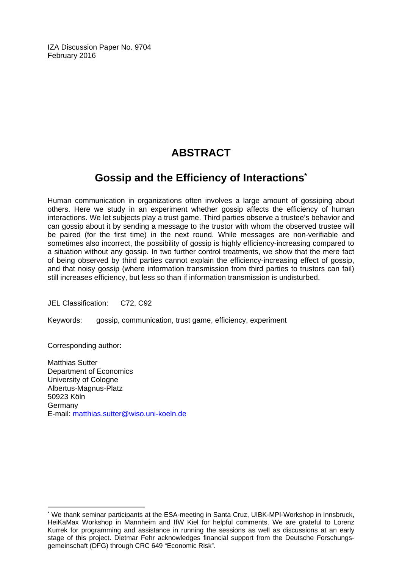IZA Discussion Paper No. 9704 February 2016

# **ABSTRACT**

## **Gossip and the Efficiency of Interactions\***

Human communication in organizations often involves a large amount of gossiping about others. Here we study in an experiment whether gossip affects the efficiency of human interactions. We let subjects play a trust game. Third parties observe a trustee's behavior and can gossip about it by sending a message to the trustor with whom the observed trustee will be paired (for the first time) in the next round. While messages are non-verifiable and sometimes also incorrect, the possibility of gossip is highly efficiency-increasing compared to a situation without any gossip. In two further control treatments, we show that the mere fact of being observed by third parties cannot explain the efficiency-increasing effect of gossip, and that noisy gossip (where information transmission from third parties to trustors can fail) still increases efficiency, but less so than if information transmission is undisturbed.

JEL Classification: C72, C92

Keywords: gossip, communication, trust game, efficiency, experiment

Corresponding author:

 $\overline{a}$ 

Matthias Sutter Department of Economics University of Cologne Albertus-Magnus-Platz 50923 Köln Germany E-mail: matthias.sutter@wiso.uni-koeln.de

<sup>\*</sup> We thank seminar participants at the ESA-meeting in Santa Cruz, UIBK-MPI-Workshop in Innsbruck, HeiKaMax Workshop in Mannheim and IfW Kiel for helpful comments. We are grateful to Lorenz Kurrek for programming and assistance in running the sessions as well as discussions at an early stage of this project. Dietmar Fehr acknowledges financial support from the Deutsche Forschungsgemeinschaft (DFG) through CRC 649 "Economic Risk".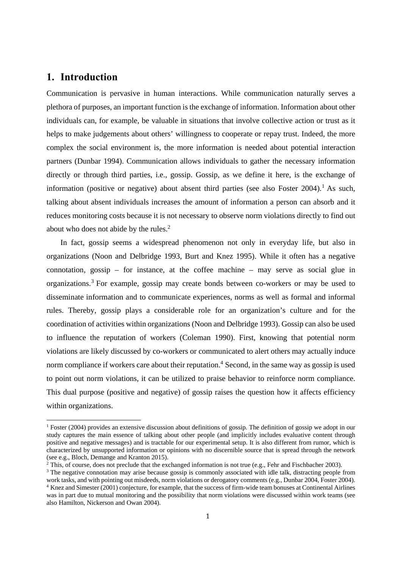### **1. Introduction**

 

Communication is pervasive in human interactions. While communication naturally serves a plethora of purposes, an important function is the exchange of information. Information about other individuals can, for example, be valuable in situations that involve collective action or trust as it helps to make judgements about others' willingness to cooperate or repay trust. Indeed, the more complex the social environment is, the more information is needed about potential interaction partners (Dunbar 1994). Communication allows individuals to gather the necessary information directly or through third parties, i.e., gossip. Gossip, as we define it here, is the exchange of information (positive or negative) about absent third parties (see also Foster 2004).<sup>1</sup> As such, talking about absent individuals increases the amount of information a person can absorb and it reduces monitoring costs because it is not necessary to observe norm violations directly to find out about who does not abide by the rules.<sup>2</sup>

In fact, gossip seems a widespread phenomenon not only in everyday life, but also in organizations (Noon and Delbridge 1993, Burt and Knez 1995). While it often has a negative connotation, gossip – for instance, at the coffee machine – may serve as social glue in organizations.3 For example, gossip may create bonds between co-workers or may be used to disseminate information and to communicate experiences, norms as well as formal and informal rules. Thereby, gossip plays a considerable role for an organization's culture and for the coordination of activities within organizations (Noon and Delbridge 1993). Gossip can also be used to influence the reputation of workers (Coleman 1990). First, knowing that potential norm violations are likely discussed by co-workers or communicated to alert others may actually induce norm compliance if workers care about their reputation.<sup>4</sup> Second, in the same way as gossip is used to point out norm violations, it can be utilized to praise behavior to reinforce norm compliance. This dual purpose (positive and negative) of gossip raises the question how it affects efficiency within organizations.

<sup>&</sup>lt;sup>1</sup> Foster (2004) provides an extensive discussion about definitions of gossip. The definition of gossip we adopt in our study captures the main essence of talking about other people (and implicitly includes evaluative content through positive and negative messages) and is tractable for our experimental setup. It is also different from rumor, which is characterized by unsupported information or opinions with no discernible source that is spread through the network (see e.g., Bloch, Demange and Kranton 2015).

 $2$  This, of course, does not preclude that the exchanged information is not true (e.g., Fehr and Fischbacher 2003).

<sup>&</sup>lt;sup>3</sup> The negative connotation may arise because gossip is commonly associated with idle talk, distracting people from work tasks, and with pointing out misdeeds, norm violations or derogatory comments (e.g., Dunbar 2004, Foster 2004). 4 Knez and Simester (2001) conjecture, for example, that the success of firm-wide team bonuses at Continental Airlines

was in part due to mutual monitoring and the possibility that norm violations were discussed within work teams (see also Hamilton, Nickerson and Owan 2004).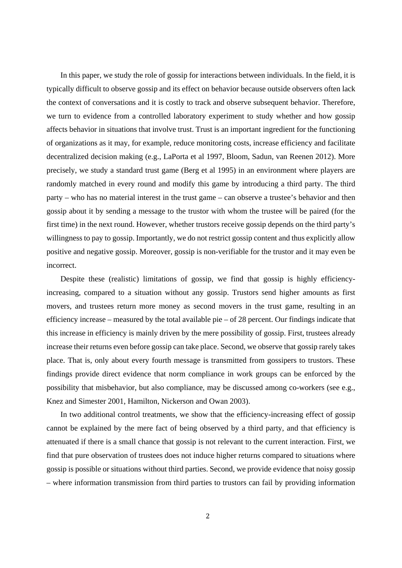In this paper, we study the role of gossip for interactions between individuals. In the field, it is typically difficult to observe gossip and its effect on behavior because outside observers often lack the context of conversations and it is costly to track and observe subsequent behavior. Therefore, we turn to evidence from a controlled laboratory experiment to study whether and how gossip affects behavior in situations that involve trust. Trust is an important ingredient for the functioning of organizations as it may, for example, reduce monitoring costs, increase efficiency and facilitate decentralized decision making (e.g., LaPorta et al 1997, Bloom, Sadun, van Reenen 2012). More precisely, we study a standard trust game (Berg et al 1995) in an environment where players are randomly matched in every round and modify this game by introducing a third party. The third party – who has no material interest in the trust game – can observe a trustee's behavior and then gossip about it by sending a message to the trustor with whom the trustee will be paired (for the first time) in the next round. However, whether trustors receive gossip depends on the third party's willingness to pay to gossip. Importantly, we do not restrict gossip content and thus explicitly allow positive and negative gossip. Moreover, gossip is non-verifiable for the trustor and it may even be incorrect.

Despite these (realistic) limitations of gossip, we find that gossip is highly efficiencyincreasing, compared to a situation without any gossip. Trustors send higher amounts as first movers, and trustees return more money as second movers in the trust game, resulting in an efficiency increase – measured by the total available pie – of 28 percent. Our findings indicate that this increase in efficiency is mainly driven by the mere possibility of gossip. First, trustees already increase their returns even before gossip can take place. Second, we observe that gossip rarely takes place. That is, only about every fourth message is transmitted from gossipers to trustors. These findings provide direct evidence that norm compliance in work groups can be enforced by the possibility that misbehavior, but also compliance, may be discussed among co-workers (see e.g., Knez and Simester 2001, Hamilton, Nickerson and Owan 2003).

In two additional control treatments, we show that the efficiency-increasing effect of gossip cannot be explained by the mere fact of being observed by a third party, and that efficiency is attenuated if there is a small chance that gossip is not relevant to the current interaction. First, we find that pure observation of trustees does not induce higher returns compared to situations where gossip is possible or situations without third parties. Second, we provide evidence that noisy gossip – where information transmission from third parties to trustors can fail by providing information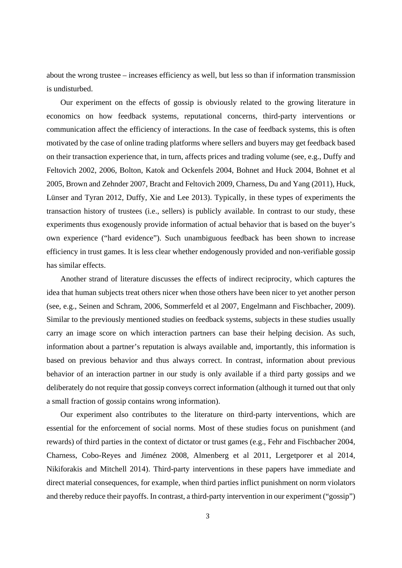about the wrong trustee – increases efficiency as well, but less so than if information transmission is undisturbed.

Our experiment on the effects of gossip is obviously related to the growing literature in economics on how feedback systems, reputational concerns, third-party interventions or communication affect the efficiency of interactions. In the case of feedback systems, this is often motivated by the case of online trading platforms where sellers and buyers may get feedback based on their transaction experience that, in turn, affects prices and trading volume (see, e.g., Duffy and Feltovich 2002, 2006, Bolton, Katok and Ockenfels 2004, Bohnet and Huck 2004, Bohnet et al 2005, Brown and Zehnder 2007, Bracht and Feltovich 2009, Charness, Du and Yang (2011), Huck, Lünser and Tyran 2012, Duffy, Xie and Lee 2013). Typically, in these types of experiments the transaction history of trustees (i.e., sellers) is publicly available. In contrast to our study, these experiments thus exogenously provide information of actual behavior that is based on the buyer's own experience ("hard evidence"). Such unambiguous feedback has been shown to increase efficiency in trust games. It is less clear whether endogenously provided and non-verifiable gossip has similar effects.

Another strand of literature discusses the effects of indirect reciprocity, which captures the idea that human subjects treat others nicer when those others have been nicer to yet another person (see, e.g., Seinen and Schram, 2006, Sommerfeld et al 2007, Engelmann and Fischbacher, 2009). Similar to the previously mentioned studies on feedback systems, subjects in these studies usually carry an image score on which interaction partners can base their helping decision. As such, information about a partner's reputation is always available and, importantly, this information is based on previous behavior and thus always correct. In contrast, information about previous behavior of an interaction partner in our study is only available if a third party gossips and we deliberately do not require that gossip conveys correct information (although it turned out that only a small fraction of gossip contains wrong information).

Our experiment also contributes to the literature on third-party interventions, which are essential for the enforcement of social norms. Most of these studies focus on punishment (and rewards) of third parties in the context of dictator or trust games (e.g., Fehr and Fischbacher 2004, Charness, Cobo-Reyes and Jiménez 2008, Almenberg et al 2011, Lergetporer et al 2014, Nikiforakis and Mitchell 2014). Third-party interventions in these papers have immediate and direct material consequences, for example, when third parties inflict punishment on norm violators and thereby reduce their payoffs. In contrast, a third-party intervention in our experiment ("gossip")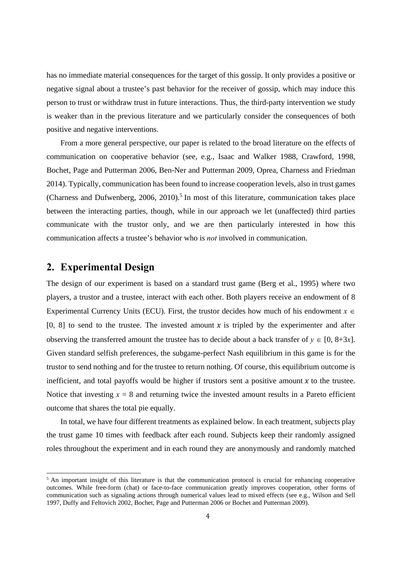has no immediate material consequences for the target of this gossip. It only provides a positive or negative signal about a trustee's past behavior for the receiver of gossip, which may induce this person to trust or withdraw trust in future interactions. Thus, the third-party intervention we study is weaker than in the previous literature and we particularly consider the consequences of both positive and negative interventions.

From a more general perspective, our paper is related to the broad literature on the effects of communication on cooperative behavior (see, e.g., Isaac and Walker 1988, Crawford, 1998, Bochet, Page and Putterman 2006, Ben-Ner and Putterman 2009, Oprea, Charness and Friedman 2014). Typically, communication has been found to increase cooperation levels, also in trust games (Charness and Dufwenberg,  $2006$ ,  $2010$ ).<sup>5</sup> In most of this literature, communication takes place between the interacting parties, though, while in our approach we let (unaffected) third parties communicate with the trustor only, and we are then particularly interested in how this communication affects a trustee's behavior who is *not* involved in communication.

### **2. Experimental Design**

 

The design of our experiment is based on a standard trust game (Berg et al., 1995) where two players, a trustor and a trustee, interact with each other. Both players receive an endowment of 8 Experimental Currency Units (ECU). First, the trustor decides how much of his endowment  $x \in$ [0, 8] to send to the trustee. The invested amount x is tripled by the experimenter and after observing the transferred amount the trustee has to decide about a back transfer of  $y \in [0, 8+3x]$ . Given standard selfish preferences, the subgame-perfect Nash equilibrium in this game is for the trustor to send nothing and for the trustee to return nothing. Of course, this equilibrium outcome is inefficient, and total payoffs would be higher if trustors sent a positive amount  $x$  to the trustee. Notice that investing  $x = 8$  and returning twice the invested amount results in a Pareto efficient outcome that shares the total pie equally.

In total, we have four different treatments as explained below. In each treatment, subjects play the trust game 10 times with feedback after each round. Subjects keep their randomly assigned roles throughout the experiment and in each round they are anonymously and randomly matched

<sup>&</sup>lt;sup>5</sup> An important insight of this literature is that the communication protocol is crucial for enhancing cooperative outcomes. While free-form (chat) or face-to-face communication greatly improves cooperation, other forms of communication such as signaling actions through numerical values lead to mixed effects (see e.g., Wilson and Sell 1997, Duffy and Feltovich 2002, Bochet, Page and Putterman 2006 or Bochet and Putterman 2009).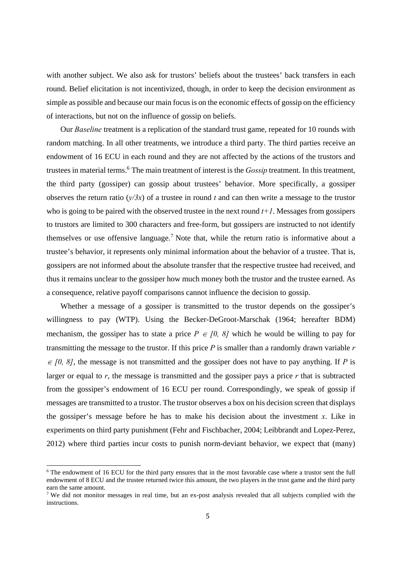with another subject. We also ask for trustors' beliefs about the trustees' back transfers in each round. Belief elicitation is not incentivized, though, in order to keep the decision environment as simple as possible and because our main focus is on the economic effects of gossip on the efficiency of interactions, but not on the influence of gossip on beliefs.

Our *Baseline* treatment is a replication of the standard trust game, repeated for 10 rounds with random matching. In all other treatments, we introduce a third party. The third parties receive an endowment of 16 ECU in each round and they are not affected by the actions of the trustors and trustees in material terms.<sup>6</sup> The main treatment of interest is the *Gossip* treatment. In this treatment, the third party (gossiper) can gossip about trustees' behavior. More specifically, a gossiper observes the return ratio  $(y/3x)$  of a trustee in round *t* and can then write a message to the trustor who is going to be paired with the observed trustee in the next round *t+1*. Messages from gossipers to trustors are limited to 300 characters and free-form, but gossipers are instructed to not identify themselves or use offensive language.<sup>7</sup> Note that, while the return ratio is informative about a trustee's behavior, it represents only minimal information about the behavior of a trustee. That is, gossipers are not informed about the absolute transfer that the respective trustee had received, and thus it remains unclear to the gossiper how much money both the trustor and the trustee earned. As a consequence, relative payoff comparisons cannot influence the decision to gossip.

Whether a message of a gossiper is transmitted to the trustor depends on the gossiper's willingness to pay (WTP). Using the Becker-DeGroot-Marschak (1964; hereafter BDM) mechanism, the gossiper has to state a price  $P \in [0, 8]$  which he would be willing to pay for transmitting the message to the trustor. If this price *P* is smaller than a randomly drawn variable *r*   $\epsilon$  [0, 8], the message is not transmitted and the gossiper does not have to pay anything. If *P* is larger or equal to *r*, the message is transmitted and the gossiper pays a price *r* that is subtracted from the gossiper's endowment of 16 ECU per round. Correspondingly, we speak of gossip if messages are transmitted to a trustor. The trustor observes a box on his decision screen that displays the gossiper's message before he has to make his decision about the investment *x*. Like in experiments on third party punishment (Fehr and Fischbacher, 2004; Leibbrandt and Lopez-Perez, 2012) where third parties incur costs to punish norm-deviant behavior, we expect that (many)

 

<sup>&</sup>lt;sup>6</sup> The endowment of 16 ECU for the third party ensures that in the most favorable case where a trustor sent the full endowment of 8 ECU and the trustee returned twice this amount, the two players in the trust game and the third party earn the same amount.

<sup>&</sup>lt;sup>7</sup> We did not monitor messages in real time, but an ex-post analysis revealed that all subjects complied with the instructions.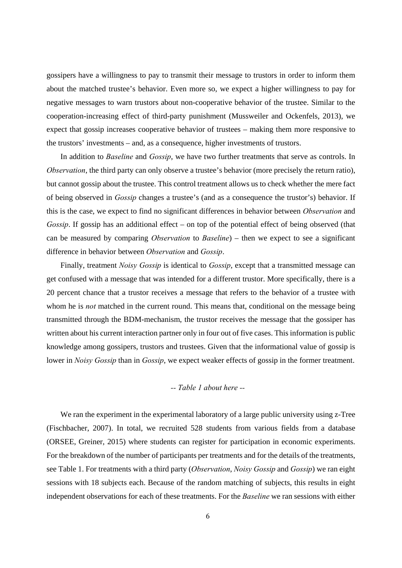gossipers have a willingness to pay to transmit their message to trustors in order to inform them about the matched trustee's behavior. Even more so, we expect a higher willingness to pay for negative messages to warn trustors about non-cooperative behavior of the trustee. Similar to the cooperation-increasing effect of third-party punishment (Mussweiler and Ockenfels, 2013), we expect that gossip increases cooperative behavior of trustees – making them more responsive to the trustors' investments – and, as a consequence, higher investments of trustors.

In addition to *Baseline* and *Gossip*, we have two further treatments that serve as controls. In *Observation*, the third party can only observe a trustee's behavior (more precisely the return ratio), but cannot gossip about the trustee. This control treatment allows us to check whether the mere fact of being observed in *Gossip* changes a trustee's (and as a consequence the trustor's) behavior. If this is the case, we expect to find no significant differences in behavior between *Observation* and *Gossip*. If gossip has an additional effect – on top of the potential effect of being observed (that can be measured by comparing *Observation* to *Baseline*) – then we expect to see a significant difference in behavior between *Observation* and *Gossip*.

Finally, treatment *Noisy Gossip* is identical to *Gossip*, except that a transmitted message can get confused with a message that was intended for a different trustor. More specifically, there is a 20 percent chance that a trustor receives a message that refers to the behavior of a trustee with whom he is *not* matched in the current round. This means that, conditional on the message being transmitted through the BDM-mechanism, the trustor receives the message that the gossiper has written about his current interaction partner only in four out of five cases. This information is public knowledge among gossipers, trustors and trustees. Given that the informational value of gossip is lower in *Noisy Gossip* than in *Gossip*, we expect weaker effects of gossip in the former treatment.

#### *-- Table 1 about here --*

We ran the experiment in the experimental laboratory of a large public university using z-Tree (Fischbacher, 2007). In total, we recruited 528 students from various fields from a database (ORSEE, Greiner, 2015) where students can register for participation in economic experiments. For the breakdown of the number of participants per treatments and for the details of the treatments, see Table 1. For treatments with a third party (*Observation*, *Noisy Gossip* and *Gossip*) we ran eight sessions with 18 subjects each. Because of the random matching of subjects, this results in eight independent observations for each of these treatments. For the *Baseline* we ran sessions with either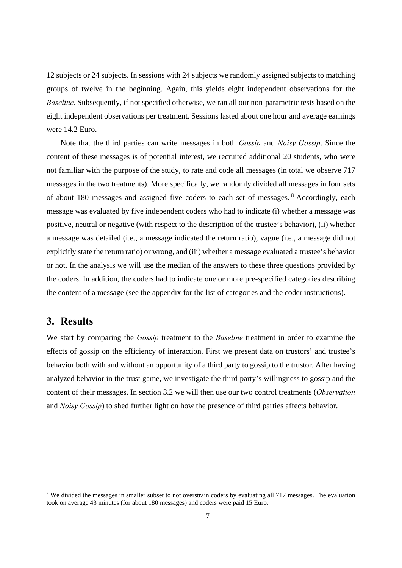12 subjects or 24 subjects. In sessions with 24 subjects we randomly assigned subjects to matching groups of twelve in the beginning. Again, this yields eight independent observations for the *Baseline*. Subsequently, if not specified otherwise, we ran all our non-parametric tests based on the eight independent observations per treatment. Sessions lasted about one hour and average earnings were 14.2 Euro.

Note that the third parties can write messages in both *Gossip* and *Noisy Gossip*. Since the content of these messages is of potential interest, we recruited additional 20 students, who were not familiar with the purpose of the study, to rate and code all messages (in total we observe 717 messages in the two treatments). More specifically, we randomly divided all messages in four sets of about 180 messages and assigned five coders to each set of messages. 8 Accordingly, each message was evaluated by five independent coders who had to indicate (i) whether a message was positive, neutral or negative (with respect to the description of the trustee's behavior), (ii) whether a message was detailed (i.e., a message indicated the return ratio), vague (i.e., a message did not explicitly state the return ratio) or wrong, and (iii) whether a message evaluated a trustee's behavior or not. In the analysis we will use the median of the answers to these three questions provided by the coders. In addition, the coders had to indicate one or more pre-specified categories describing the content of a message (see the appendix for the list of categories and the coder instructions).

### **3. Results**

 

We start by comparing the *Gossip* treatment to the *Baseline* treatment in order to examine the effects of gossip on the efficiency of interaction. First we present data on trustors' and trustee's behavior both with and without an opportunity of a third party to gossip to the trustor. After having analyzed behavior in the trust game, we investigate the third party's willingness to gossip and the content of their messages. In section 3.2 we will then use our two control treatments (*Observation*  and *Noisy Gossip*) to shed further light on how the presence of third parties affects behavior.

<sup>&</sup>lt;sup>8</sup> We divided the messages in smaller subset to not overstrain coders by evaluating all 717 messages. The evaluation took on average 43 minutes (for about 180 messages) and coders were paid 15 Euro.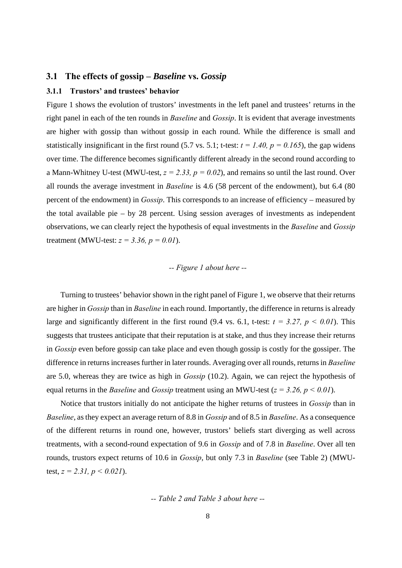#### **3.1 The effects of gossip –** *Baseline* **vs.** *Gossip*

#### **3.1.1 Trustors' and trustees' behavior**

Figure 1 shows the evolution of trustors' investments in the left panel and trustees' returns in the right panel in each of the ten rounds in *Baseline* and *Gossip*. It is evident that average investments are higher with gossip than without gossip in each round. While the difference is small and statistically insignificant in the first round (5.7 vs. 5.1; t-test:  $t = 1.40$ ,  $p = 0.165$ ), the gap widens over time. The difference becomes significantly different already in the second round according to a Mann-Whitney U-test (MWU-test,  $z = 2.33$ ,  $p = 0.02$ ), and remains so until the last round. Over all rounds the average investment in *Baseline* is 4.6 (58 percent of the endowment), but 6.4 (80 percent of the endowment) in *Gossip*. This corresponds to an increase of efficiency – measured by the total available pie – by 28 percent. Using session averages of investments as independent observations, we can clearly reject the hypothesis of equal investments in the *Baseline* and *Gossip* treatment (MWU-test:  $z = 3.36$ ,  $p = 0.01$ ).

#### *-- Figure 1 about here --*

Turning to trustees' behavior shown in the right panel of Figure 1, we observe that their returns are higher in *Gossip* than in *Baseline* in each round. Importantly, the difference in returns is already large and significantly different in the first round (9.4 vs. 6.1, t-test:  $t = 3.27$ ,  $p \le 0.01$ ). This suggests that trustees anticipate that their reputation is at stake, and thus they increase their returns in *Gossip* even before gossip can take place and even though gossip is costly for the gossiper. The difference in returns increases further in later rounds. Averaging over all rounds, returns in *Baseline* are 5.0, whereas they are twice as high in *Gossip* (10.2). Again, we can reject the hypothesis of equal returns in the *Baseline* and *Gossip* treatment using an MWU-test (*z = 3.26, p < 0.01*).

Notice that trustors initially do not anticipate the higher returns of trustees in *Gossip* than in *Baseline*, as they expect an average return of 8.8 in *Gossip* and of 8.5 in *Baseline*. As a consequence of the different returns in round one, however, trustors' beliefs start diverging as well across treatments, with a second-round expectation of 9.6 in *Gossip* and of 7.8 in *Baseline*. Over all ten rounds, trustors expect returns of 10.6 in *Gossip*, but only 7.3 in *Baseline* (see Table 2) (MWUtest, *z = 2.31, p < 0.021*).

*-- Table 2 and Table 3 about here --*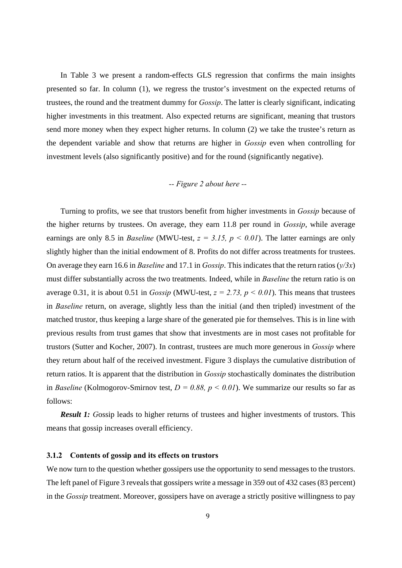In Table 3 we present a random-effects GLS regression that confirms the main insights presented so far. In column (1), we regress the trustor's investment on the expected returns of trustees, the round and the treatment dummy for *Gossip*. The latter is clearly significant, indicating higher investments in this treatment. Also expected returns are significant, meaning that trustors send more money when they expect higher returns. In column (2) we take the trustee's return as the dependent variable and show that returns are higher in *Gossip* even when controlling for investment levels (also significantly positive) and for the round (significantly negative).

#### *-- Figure 2 about here --*

Turning to profits, we see that trustors benefit from higher investments in *Gossip* because of the higher returns by trustees. On average, they earn 11.8 per round in *Gossip*, while average earnings are only 8.5 in *Baseline* (MWU-test, *z = 3.15, p < 0.01*). The latter earnings are only slightly higher than the initial endowment of 8. Profits do not differ across treatments for trustees. On average they earn 16.6 in *Baseline* and 17.1 in *Gossip*. This indicates that the return ratios (*y/3x*) must differ substantially across the two treatments. Indeed, while in *Baseline* the return ratio is on average 0.31, it is about 0.51 in *Gossip* (MWU-test,  $z = 2.73$ ,  $p < 0.01$ ). This means that trustees in *Baseline* return, on average, slightly less than the initial (and then tripled) investment of the matched trustor, thus keeping a large share of the generated pie for themselves. This is in line with previous results from trust games that show that investments are in most cases not profitable for trustors (Sutter and Kocher, 2007). In contrast, trustees are much more generous in *Gossip* where they return about half of the received investment. Figure 3 displays the cumulative distribution of return ratios. It is apparent that the distribution in *Gossip* stochastically dominates the distribution in *Baseline* (Kolmogorov-Smirnov test,  $D = 0.88$ ,  $p \lt 0.01$ ). We summarize our results so far as follows:

*Result 1: Gossip leads to higher returns of trustees and higher investments of trustors. This* means that gossip increases overall efficiency.

#### **3.1.2 Contents of gossip and its effects on trustors**

We now turn to the question whether gossipers use the opportunity to send messages to the trustors. The left panel of Figure 3 reveals that gossipers write a message in 359 out of 432 cases (83 percent) in the *Gossip* treatment. Moreover, gossipers have on average a strictly positive willingness to pay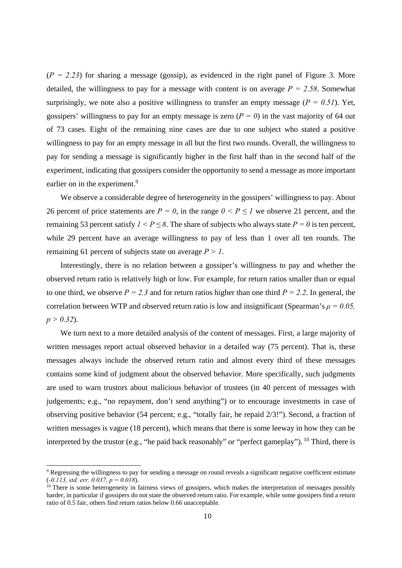$(P = 2.23)$  for sharing a message (gossip), as evidenced in the right panel of Figure 3. More detailed, the willingness to pay for a message with content is on average  $P = 2.58$ . Somewhat surprisingly, we note also a positive willingness to transfer an empty message ( $P = 0.51$ ). Yet, gossipers' willingness to pay for an empty message is zero  $(P = 0)$  in the vast majority of 64 out of 73 cases. Eight of the remaining nine cases are due to one subject who stated a positive willingness to pay for an empty message in all but the first two rounds. Overall, the willingness to pay for sending a message is significantly higher in the first half than in the second half of the experiment, indicating that gossipers consider the opportunity to send a message as more important earlier on in the experiment.<sup>9</sup>

We observe a considerable degree of heterogeneity in the gossipers' willingness to pay. About 26 percent of price statements are  $P = 0$ , in the range  $0 \le P \le 1$  we observe 21 percent, and the remaining 53 percent satisfy  $1 < P \le 8$ . The share of subjects who always state  $P = 0$  is ten percent, while 29 percent have an average willingness to pay of less than 1 over all ten rounds. The remaining 61 percent of subjects state on average *P > 1*.

Interestingly, there is no relation between a gossiper's willingness to pay and whether the observed return ratio is relatively high or low. For example, for return ratios smaller than or equal to one third, we observe  $P = 2.3$  and for return ratios higher than one third  $P = 2.2$ . In general, the correlation between WTP and observed return ratio is low and insignificant (Spearman's *ρ = 0.05, p > 0.32*).

We turn next to a more detailed analysis of the content of messages. First, a large majority of written messages report actual observed behavior in a detailed way (75 percent). That is, these messages always include the observed return ratio and almost every third of these messages contains some kind of judgment about the observed behavior. More specifically, such judgments are used to warn trustors about malicious behavior of trustees (in 40 percent of messages with judgements; e.g., "no repayment, don't send anything") or to encourage investments in case of observing positive behavior (54 percent; e.g., "totally fair, he repaid 2/3!"). Second, a fraction of written messages is vague (18 percent), which means that there is some leeway in how they can be interpreted by the trustor (e.g., "he paid back reasonably" or "perfect gameplay"). <sup>10</sup> Third, there is

 

<sup>&</sup>lt;sup>9</sup> Regressing the willingness to pay for sending a message on round reveals a significant negative coefficient estimate ( $-0.113$ , std. err. 0.037,  $p = 0.018$ ).<br><sup>10</sup> There is some heterogeneity in fairness views of gossipers, which makes the interpretation of messages possibly

harder, in particular if gossipers do not state the observed return ratio. For example, while some gossipers find a return ratio of 0.5 fair, others find return ratios below 0.66 unacceptable.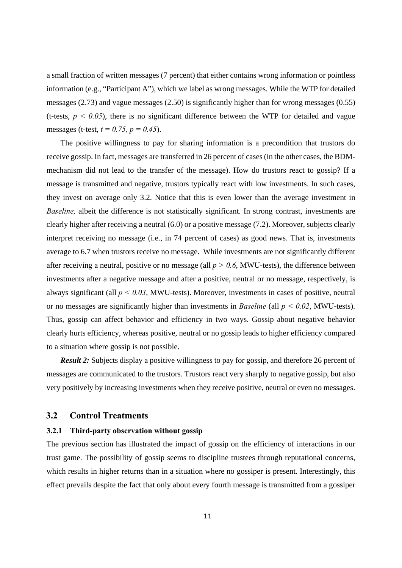a small fraction of written messages (7 percent) that either contains wrong information or pointless information (e.g., "Participant A"), which we label as wrong messages. While the WTP for detailed messages (2.73) and vague messages (2.50) is significantly higher than for wrong messages (0.55) (t-tests,  $p \le 0.05$ ), there is no significant difference between the WTP for detailed and vague messages (t-test, *t = 0.75, p = 0.45*).

The positive willingness to pay for sharing information is a precondition that trustors do receive gossip. In fact, messages are transferred in 26 percent of cases (in the other cases, the BDMmechanism did not lead to the transfer of the message). How do trustors react to gossip? If a message is transmitted and negative, trustors typically react with low investments. In such cases, they invest on average only 3.2. Notice that this is even lower than the average investment in *Baseline,* albeit the difference is not statistically significant. In strong contrast, investments are clearly higher after receiving a neutral (6.0) or a positive message (7.2). Moreover, subjects clearly interpret receiving no message (i.e., in 74 percent of cases) as good news. That is, investments average to 6.7 when trustors receive no message. While investments are not significantly different after receiving a neutral, positive or no message (all  $p > 0.6$ , MWU-tests), the difference between investments after a negative message and after a positive, neutral or no message, respectively, is always significant (all  $p < 0.03$ , MWU-tests). Moreover, investments in cases of positive, neutral or no messages are significantly higher than investments in *Baseline* (all *p < 0.02*, MWU-tests). Thus, gossip can affect behavior and efficiency in two ways. Gossip about negative behavior clearly hurts efficiency, whereas positive, neutral or no gossip leads to higher efficiency compared to a situation where gossip is not possible.

**Result 2:** Subjects display a positive willingness to pay for gossip, and therefore 26 percent of messages are communicated to the trustors. Trustors react very sharply to negative gossip, but also very positively by increasing investments when they receive positive, neutral or even no messages.

#### **3.2 Control Treatments**

#### **3.2.1 Third-party observation without gossip**

The previous section has illustrated the impact of gossip on the efficiency of interactions in our trust game. The possibility of gossip seems to discipline trustees through reputational concerns, which results in higher returns than in a situation where no gossiper is present. Interestingly, this effect prevails despite the fact that only about every fourth message is transmitted from a gossiper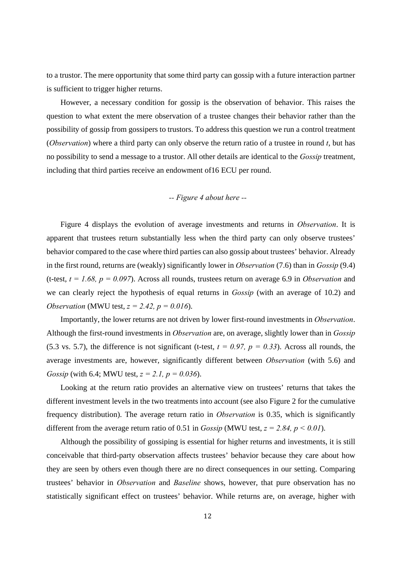to a trustor. The mere opportunity that some third party can gossip with a future interaction partner is sufficient to trigger higher returns.

However, a necessary condition for gossip is the observation of behavior. This raises the question to what extent the mere observation of a trustee changes their behavior rather than the possibility of gossip from gossipers to trustors. To address this question we run a control treatment (*Observation*) where a third party can only observe the return ratio of a trustee in round *t*, but has no possibility to send a message to a trustor. All other details are identical to the *Gossip* treatment, including that third parties receive an endowment of16 ECU per round.

### *-- Figure 4 about here --*

Figure 4 displays the evolution of average investments and returns in *Observation*. It is apparent that trustees return substantially less when the third party can only observe trustees' behavior compared to the case where third parties can also gossip about trustees' behavior. Already in the first round, returns are (weakly) significantly lower in *Observation* (7.6) than in *Gossip* (9.4) (t-test, *t = 1.68, p = 0.097*). Across all rounds, trustees return on average 6.9 in *Observation* and we can clearly reject the hypothesis of equal returns in *Gossip* (with an average of 10.2) and *Observation* (MWU test, *z = 2.42, p = 0.016*).

Importantly, the lower returns are not driven by lower first-round investments in *Observation*. Although the first-round investments in *Observation* are, on average, slightly lower than in *Gossip* (5.3 vs. 5.7), the difference is not significant (t-test,  $t = 0.97$ ,  $p = 0.33$ ). Across all rounds, the average investments are, however, significantly different between *Observation* (with 5.6) and *Gossip* (with 6.4; MWU test, *z = 2.1, p = 0.036*).

Looking at the return ratio provides an alternative view on trustees' returns that takes the different investment levels in the two treatments into account (see also Figure 2 for the cumulative frequency distribution). The average return ratio in *Observation* is 0.35, which is significantly different from the average return ratio of 0.51 in *Gossip* (MWU test,  $z = 2.84$ ,  $p \le 0.01$ ).

Although the possibility of gossiping is essential for higher returns and investments, it is still conceivable that third-party observation affects trustees' behavior because they care about how they are seen by others even though there are no direct consequences in our setting. Comparing trustees' behavior in *Observation* and *Baseline* shows, however, that pure observation has no statistically significant effect on trustees' behavior. While returns are, on average, higher with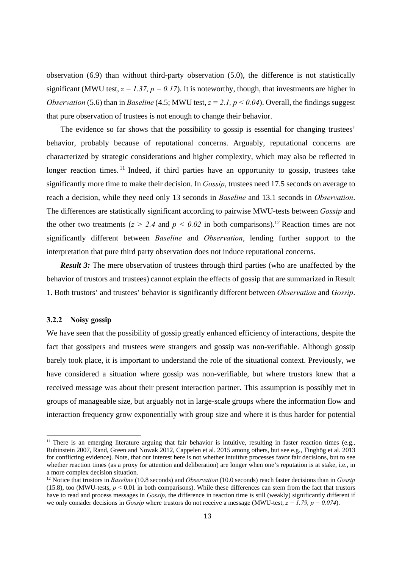observation (6.9) than without third-party observation (5.0), the difference is not statistically significant (MWU test,  $z = 1.37$ ,  $p = 0.17$ ). It is noteworthy, though, that investments are higher in *Observation* (5.6) than in *Baseline* (4.5; MWU test,  $z = 2.1$ ,  $p < 0.04$ ). Overall, the findings suggest that pure observation of trustees is not enough to change their behavior.

The evidence so far shows that the possibility to gossip is essential for changing trustees' behavior, probably because of reputational concerns. Arguably, reputational concerns are characterized by strategic considerations and higher complexity, which may also be reflected in longer reaction times. <sup>11</sup> Indeed, if third parties have an opportunity to gossip, trustees take significantly more time to make their decision. In *Gossip*, trustees need 17.5 seconds on average to reach a decision, while they need only 13 seconds in *Baseline* and 13.1 seconds in *Observation*. The differences are statistically significant according to pairwise MWU-tests between *Gossip* and the other two treatments ( $z > 2.4$  and  $p < 0.02$  in both comparisons).<sup>12</sup> Reaction times are not significantly different between *Baseline* and *Observation*, lending further support to the interpretation that pure third party observation does not induce reputational concerns.

*Result 3:* The mere observation of trustees through third parties (who are unaffected by the behavior of trustors and trustees) cannot explain the effects of gossip that are summarized in Result 1. Both trustors' and trustees' behavior is significantly different between *Observation* and *Gossip*.

#### **3.2.2 Noisy gossip**

 

We have seen that the possibility of gossip greatly enhanced efficiency of interactions, despite the fact that gossipers and trustees were strangers and gossip was non-verifiable. Although gossip barely took place, it is important to understand the role of the situational context. Previously, we have considered a situation where gossip was non-verifiable, but where trustors knew that a received message was about their present interaction partner. This assumption is possibly met in groups of manageable size, but arguably not in large-scale groups where the information flow and interaction frequency grow exponentially with group size and where it is thus harder for potential

 $11$  There is an emerging literature arguing that fair behavior is intuitive, resulting in faster reaction times (e.g., Rubinstein 2007, Rand, Green and Nowak 2012, Cappelen et al. 2015 among others, but see e.g., Tinghög et al. 2013 for conflicting evidence). Note, that our interest here is not whether intuitive processes favor fair decisions, but to see whether reaction times (as a proxy for attention and deliberation) are longer when one's reputation is at stake, i.e., in a more complex decision situation.

<sup>12</sup> Notice that trustors in *Baseline* (10.8 seconds) and *Observation* (10.0 seconds) reach faster decisions than in *Gossip* (15.8), too (MWU-tests,  $p < 0.01$  in both comparisons). While these differences can stem from the fact that trustors have to read and process messages in *Gossip*, the difference in reaction time is still (weakly) significantly different if we only consider decisions in *Gossip* where trustors do not receive a message (MWU-test,  $z = 1.79$ ,  $p = 0.074$ ).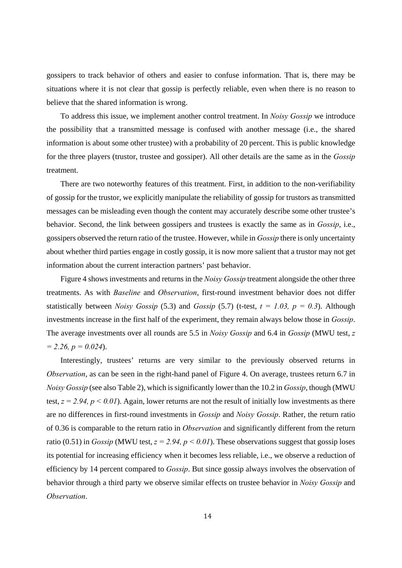gossipers to track behavior of others and easier to confuse information. That is, there may be situations where it is not clear that gossip is perfectly reliable, even when there is no reason to believe that the shared information is wrong.

To address this issue, we implement another control treatment. In *Noisy Gossip* we introduce the possibility that a transmitted message is confused with another message (i.e., the shared information is about some other trustee) with a probability of 20 percent. This is public knowledge for the three players (trustor, trustee and gossiper). All other details are the same as in the *Gossip* treatment.

There are two noteworthy features of this treatment. First, in addition to the non-verifiability of gossip for the trustor, we explicitly manipulate the reliability of gossip for trustors as transmitted messages can be misleading even though the content may accurately describe some other trustee's behavior. Second, the link between gossipers and trustees is exactly the same as in *Gossip*, i.e., gossipers observed the return ratio of the trustee. However, while in *Gossip* there is only uncertainty about whether third parties engage in costly gossip, it is now more salient that a trustor may not get information about the current interaction partners' past behavior.

Figure 4 shows investments and returns in the *Noisy Gossip* treatment alongside the other three treatments. As with *Baseline* and *Observation*, first-round investment behavior does not differ statistically between *Noisy Gossip* (5.3) and *Gossip* (5.7) (t-test,  $t = 1.03$ ,  $p = 0.3$ ). Although investments increase in the first half of the experiment, they remain always below those in *Gossip*. The average investments over all rounds are 5.5 in *Noisy Gossip* and 6.4 in *Gossip* (MWU test, *z = 2.26, p = 0.024*).

Interestingly, trustees' returns are very similar to the previously observed returns in *Observation*, as can be seen in the right-hand panel of Figure 4. On average, trustees return 6.7 in *Noisy Gossip* (see also Table 2), which is significantly lower than the 10.2 in *Gossip*, though (MWU test,  $z = 2.94$ ,  $p < 0.01$ ). Again, lower returns are not the result of initially low investments as there are no differences in first-round investments in *Gossip* and *Noisy Gossip*. Rather, the return ratio of 0.36 is comparable to the return ratio in *Observation* and significantly different from the return ratio (0.51) in *Gossip* (MWU test,  $z = 2.94$ ,  $p < 0.01$ ). These observations suggest that gossip loses its potential for increasing efficiency when it becomes less reliable, i.e., we observe a reduction of efficiency by 14 percent compared to *Gossip*. But since gossip always involves the observation of behavior through a third party we observe similar effects on trustee behavior in *Noisy Gossip* and *Observation*.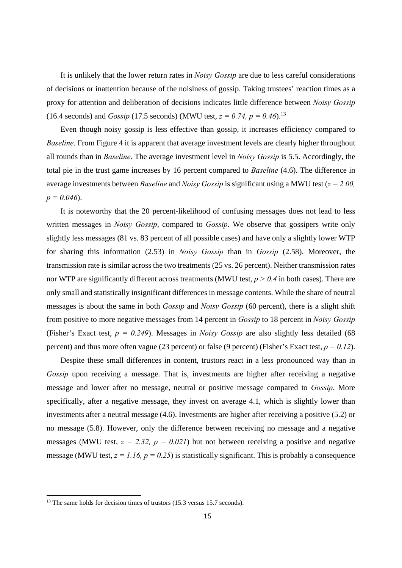It is unlikely that the lower return rates in *Noisy Gossip* are due to less careful considerations of decisions or inattention because of the noisiness of gossip. Taking trustees' reaction times as a proxy for attention and deliberation of decisions indicates little difference between *Noisy Gossip* (16.4 seconds) and *Gossip* (17.5 seconds) (MWU test,  $z = 0.74$ ,  $p = 0.46$ ).<sup>13</sup>

Even though noisy gossip is less effective than gossip, it increases efficiency compared to *Baseline*. From Figure 4 it is apparent that average investment levels are clearly higher throughout all rounds than in *Baseline*. The average investment level in *Noisy Gossip* is 5.5. Accordingly, the total pie in the trust game increases by 16 percent compared to *Baseline* (4.6). The difference in average investments between *Baseline* and *Noisy Gossip* is significant using a MWU test (*z = 2.00, p = 0.046*).

It is noteworthy that the 20 percent-likelihood of confusing messages does not lead to less written messages in *Noisy Gossip*, compared to *Gossip*. We observe that gossipers write only slightly less messages (81 vs. 83 percent of all possible cases) and have only a slightly lower WTP for sharing this information (2.53) in *Noisy Gossip* than in *Gossip* (2.58). Moreover, the transmission rate is similar across the two treatments (25 vs. 26 percent). Neither transmission rates nor WTP are significantly different across treatments (MWU test,  $p > 0.4$  in both cases). There are only small and statistically insignificant differences in message contents. While the share of neutral messages is about the same in both *Gossip* and *Noisy Gossip* (60 percent), there is a slight shift from positive to more negative messages from 14 percent in *Gossip* to 18 percent in *Noisy Gossip* (Fisher's Exact test, *p = 0.249*). Messages in *Noisy Gossip* are also slightly less detailed (68 percent) and thus more often vague (23 percent) or false (9 percent) (Fisher's Exact test,  $p = 0.12$ ).

Despite these small differences in content, trustors react in a less pronounced way than in *Gossip* upon receiving a message. That is, investments are higher after receiving a negative message and lower after no message, neutral or positive message compared to *Gossip*. More specifically, after a negative message, they invest on average 4.1, which is slightly lower than investments after a neutral message (4.6). Investments are higher after receiving a positive (5.2) or no message (5.8). However, only the difference between receiving no message and a negative messages (MWU test,  $z = 2.32$ ,  $p = 0.021$ ) but not between receiving a positive and negative message (MWU test,  $z = 1.16$ ,  $p = 0.25$ ) is statistically significant. This is probably a consequence

 

<sup>&</sup>lt;sup>13</sup> The same holds for decision times of trustors (15.3 versus 15.7 seconds).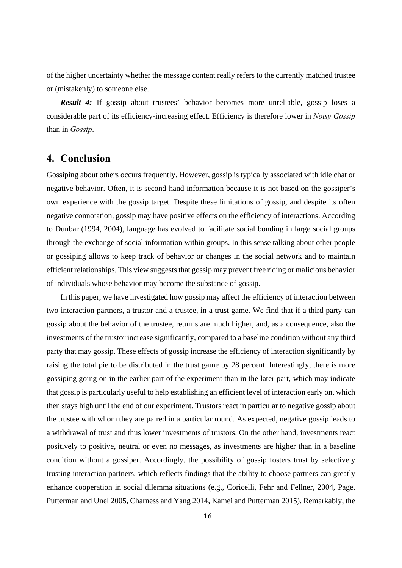of the higher uncertainty whether the message content really refers to the currently matched trustee or (mistakenly) to someone else.

*Result 4:* If gossip about trustees' behavior becomes more unreliable, gossip loses a considerable part of its efficiency-increasing effect. Efficiency is therefore lower in *Noisy Gossip* than in *Gossip*.

### **4. Conclusion**

Gossiping about others occurs frequently. However, gossip is typically associated with idle chat or negative behavior. Often, it is second-hand information because it is not based on the gossiper's own experience with the gossip target. Despite these limitations of gossip, and despite its often negative connotation, gossip may have positive effects on the efficiency of interactions. According to Dunbar (1994, 2004), language has evolved to facilitate social bonding in large social groups through the exchange of social information within groups. In this sense talking about other people or gossiping allows to keep track of behavior or changes in the social network and to maintain efficient relationships. This view suggests that gossip may prevent free riding or malicious behavior of individuals whose behavior may become the substance of gossip.

In this paper, we have investigated how gossip may affect the efficiency of interaction between two interaction partners, a trustor and a trustee, in a trust game. We find that if a third party can gossip about the behavior of the trustee, returns are much higher, and, as a consequence, also the investments of the trustor increase significantly, compared to a baseline condition without any third party that may gossip. These effects of gossip increase the efficiency of interaction significantly by raising the total pie to be distributed in the trust game by 28 percent. Interestingly, there is more gossiping going on in the earlier part of the experiment than in the later part, which may indicate that gossip is particularly useful to help establishing an efficient level of interaction early on, which then stays high until the end of our experiment. Trustors react in particular to negative gossip about the trustee with whom they are paired in a particular round. As expected, negative gossip leads to a withdrawal of trust and thus lower investments of trustors. On the other hand, investments react positively to positive, neutral or even no messages, as investments are higher than in a baseline condition without a gossiper. Accordingly, the possibility of gossip fosters trust by selectively trusting interaction partners, which reflects findings that the ability to choose partners can greatly enhance cooperation in social dilemma situations (e.g., Coricelli, Fehr and Fellner, 2004, Page, Putterman and Unel 2005, Charness and Yang 2014, Kamei and Putterman 2015). Remarkably, the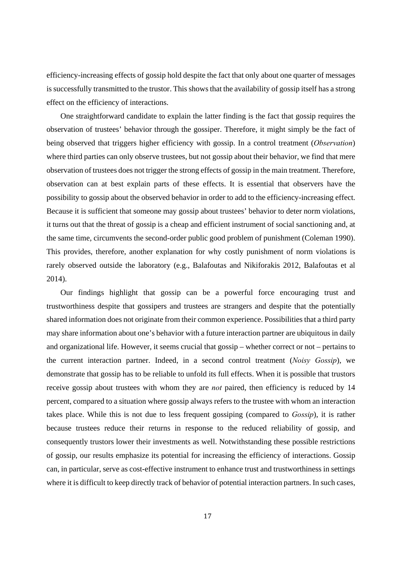efficiency-increasing effects of gossip hold despite the fact that only about one quarter of messages is successfully transmitted to the trustor. This shows that the availability of gossip itself has a strong effect on the efficiency of interactions.

One straightforward candidate to explain the latter finding is the fact that gossip requires the observation of trustees' behavior through the gossiper. Therefore, it might simply be the fact of being observed that triggers higher efficiency with gossip. In a control treatment (*Observation*) where third parties can only observe trustees, but not gossip about their behavior, we find that mere observation of trustees does not trigger the strong effects of gossip in the main treatment. Therefore, observation can at best explain parts of these effects. It is essential that observers have the possibility to gossip about the observed behavior in order to add to the efficiency-increasing effect. Because it is sufficient that someone may gossip about trustees' behavior to deter norm violations, it turns out that the threat of gossip is a cheap and efficient instrument of social sanctioning and, at the same time, circumvents the second-order public good problem of punishment (Coleman 1990). This provides, therefore, another explanation for why costly punishment of norm violations is rarely observed outside the laboratory (e.g., Balafoutas and Nikiforakis 2012, Balafoutas et al 2014).

Our findings highlight that gossip can be a powerful force encouraging trust and trustworthiness despite that gossipers and trustees are strangers and despite that the potentially shared information does not originate from their common experience. Possibilities that a third party may share information about one's behavior with a future interaction partner are ubiquitous in daily and organizational life. However, it seems crucial that gossip – whether correct or not – pertains to the current interaction partner. Indeed, in a second control treatment (*Noisy Gossip*), we demonstrate that gossip has to be reliable to unfold its full effects. When it is possible that trustors receive gossip about trustees with whom they are *not* paired, then efficiency is reduced by 14 percent, compared to a situation where gossip always refers to the trustee with whom an interaction takes place. While this is not due to less frequent gossiping (compared to *Gossip*), it is rather because trustees reduce their returns in response to the reduced reliability of gossip, and consequently trustors lower their investments as well. Notwithstanding these possible restrictions of gossip, our results emphasize its potential for increasing the efficiency of interactions. Gossip can, in particular, serve as cost-effective instrument to enhance trust and trustworthiness in settings where it is difficult to keep directly track of behavior of potential interaction partners. In such cases,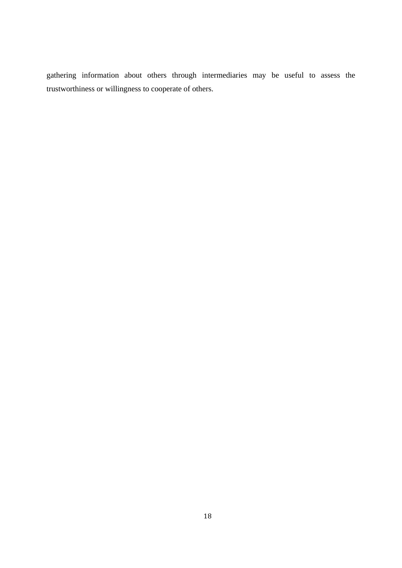gathering information about others through intermediaries may be useful to assess the trustworthiness or willingness to cooperate of others.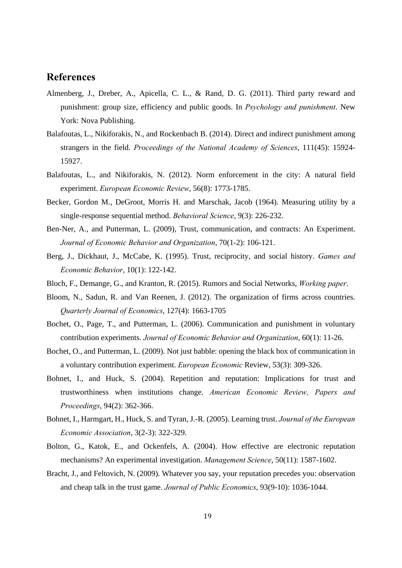### **References**

- Almenberg, J., Dreber, A., Apicella, C. L., & Rand, D. G. (2011). Third party reward and punishment: group size, efficiency and public goods. In *Psychology and punishment*. New York: Nova Publishing.
- Balafoutas, L., Nikiforakis, N., and Rockenbach B. (2014). Direct and indirect punishment among strangers in the field. *Proceedings of the National Academy of Sciences*, 111(45): 15924- 15927.
- Balafoutas, L., and Nikiforakis, N. (2012). Norm enforcement in the city: A natural field experiment. *European Economic Review*, 56(8): 1773-1785.
- Becker, Gordon M., DeGroot, Morris H. and Marschak, Jacob (1964). Measuring utility by a single-response sequential method. *Behavioral Science*, 9(3): 226-232.
- Ben-Ner, A., and Putterman, L. (2009), Trust, communication, and contracts: An Experiment. *Journal of Economic Behavior and Organization*, 70(1-2): 106-121.
- Berg, J., Dickhaut, J., McCabe, K. (1995). Trust, reciprocity, and social history. *Games and Economic Behavior*, 10(1): 122-142.
- Bloch, F., Demange, G., and Kranton, R. (2015). Rumors and Social Networks, *Working paper*.
- Bloom, N., Sadun, R. and Van Reenen, J. (2012). The organization of firms across countries. *Quarterly Journal of Economics*, 127(4): 1663-1705
- Bochet, O., Page, T., and Putterman, L. (2006). Communication and punishment in voluntary contribution experiments. *Journal of Economic Behavior and Organization*, 60(1): 11-26.
- Bochet, O., and Putterman, L. (2009). Not just babble: opening the black box of communication in a voluntary contribution experiment. *European Economic* Review, 53(3): 309-326.
- Bohnet, I., and Huck, S. (2004). Repetition and reputation: Implications for trust and trustworthiness when institutions change. *American Economic Review, Papers and Proceedings*, 94(2): 362-366.
- Bohnet, I., Harmgart, H., Huck, S. and Tyran, J.-R. (2005). Learning trust. *Journal of the European Economic Association*, 3(2-3): 322-329.
- Bolton, G., Katok, E., and Ockenfels, A. (2004). How effective are electronic reputation mechanisms? An experimental investigation. *Management Science*, 50(11): 1587-1602.
- Bracht, J., and Feltovich, N. (2009). Whatever you say, your reputation precedes you: observation and cheap talk in the trust game. *Journal of Public Economics*, 93(9-10): 1036-1044.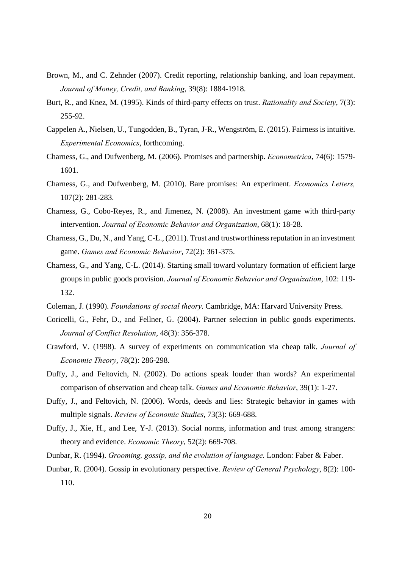- Brown, M., and C. Zehnder (2007). Credit reporting, relationship banking, and loan repayment. *Journal of Money, Credit, and Banking*, 39(8): 1884-1918.
- Burt, R., and Knez, M. (1995). Kinds of third-party effects on trust. *Rationality and Society*, 7(3): 255-92.
- Cappelen A., Nielsen, U., Tungodden, B., Tyran, J-R., Wengström, E. (2015). Fairness is intuitive. *Experimental Economics*, forthcoming.
- Charness, G., and Dufwenberg, M. (2006). Promises and partnership. *Econometrica*, 74(6): 1579- 1601.
- Charness, G., and Dufwenberg, M. (2010). Bare promises: An experiment. *Economics Letters,* 107(2): 281-283.
- Charness, G., Cobo-Reyes, R., and Jimenez, N. (2008). An investment game with third-party intervention. *Journal of Economic Behavior and Organization*, 68(1): 18-28.
- Charness, G., Du, N., and Yang, C-L., (2011). Trust and trustworthiness reputation in an investment game. *Games and Economic Behavior*, 72(2): 361-375.
- Charness, G., and Yang, C-L. (2014). Starting small toward voluntary formation of efficient large groups in public goods provision. *Journal of Economic Behavior and Organization*, 102: 119- 132.
- Coleman, J. (1990). *Foundations of social theory*. Cambridge, MA: Harvard University Press.
- Coricelli, G., Fehr, D., and Fellner, G. (2004). Partner selection in public goods experiments. *Journal of Conflict Resolution*, 48(3): 356-378.
- Crawford, V. (1998). A survey of experiments on communication via cheap talk. *Journal of Economic Theory*, 78(2): 286-298.
- Duffy, J., and Feltovich, N. (2002). Do actions speak louder than words? An experimental comparison of observation and cheap talk. *Games and Economic Behavior*, 39(1): 1-27.
- Duffy, J., and Feltovich, N. (2006). Words, deeds and lies: Strategic behavior in games with multiple signals. *Review of Economic Studies*, 73(3): 669-688.
- Duffy, J., Xie, H., and Lee, Y-J. (2013). Social norms, information and trust among strangers: theory and evidence. *Economic Theory*, 52(2): 669-708.
- Dunbar, R. (1994). *Grooming, gossip, and the evolution of language*. London: Faber & Faber.
- Dunbar, R. (2004). Gossip in evolutionary perspective. *Review of General Psychology*, 8(2): 100- 110.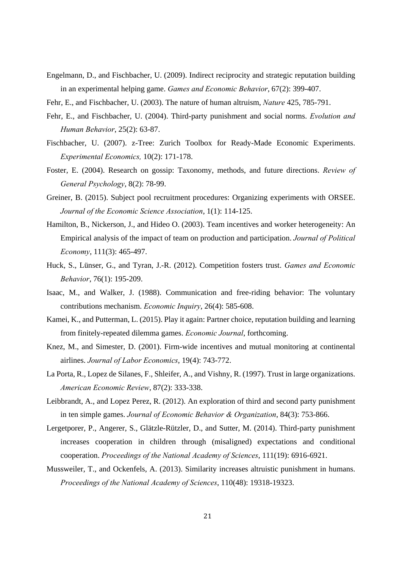- Engelmann, D., and Fischbacher, U. (2009). Indirect reciprocity and strategic reputation building in an experimental helping game. *Games and Economic Behavior*, 67(2): 399-407.
- Fehr, E., and Fischbacher, U. (2003). The nature of human altruism, *Nature* 425, 785-791.
- Fehr, E., and Fischbacher, U. (2004). Third-party punishment and social norms. *Evolution and Human Behavior*, 25(2): 63-87.
- Fischbacher, U. (2007). z-Tree: Zurich Toolbox for Ready-Made Economic Experiments. *Experimental Economics,* 10(2): 171-178.
- Foster, E. (2004). Research on gossip: Taxonomy, methods, and future directions. *Review of General Psychology*, 8(2): 78-99.
- Greiner, B. (2015). Subject pool recruitment procedures: Organizing experiments with ORSEE. *Journal of the Economic Science Association*, 1(1): 114-125.
- Hamilton, B., Nickerson, J., and Hideo O. (2003). Team incentives and worker heterogeneity: An Empirical analysis of the impact of team on production and participation. *Journal of Political Economy*, 111(3): 465-497.
- Huck, S., Lünser, G., and Tyran, J.-R. (2012). Competition fosters trust. *Games and Economic Behavior*, 76(1): 195-209.
- Isaac, M., and Walker, J. (1988). Communication and free-riding behavior: The voluntary contributions mechanism. *Economic Inquiry*, 26(4): 585-608.
- Kamei, K., and Putterman, L. (2015). Play it again: Partner choice, reputation building and learning from finitely-repeated dilemma games. *Economic Journal*, forthcoming.
- Knez, M., and Simester, D. (2001). Firm-wide incentives and mutual monitoring at continental airlines. *Journal of Labor Economics*, 19(4): 743-772.
- La Porta, R., Lopez de Silanes, F., Shleifer, A., and Vishny, R. (1997). Trust in large organizations. *American Economic Review*, 87(2): 333-338.
- Leibbrandt, A., and Lopez Perez, R. (2012). An exploration of third and second party punishment in ten simple games. *Journal of Economic Behavior & Organization*, 84(3): 753-866.
- Lergetporer, P., Angerer, S., Glätzle-Rützler, D., and Sutter, M. (2014). Third-party punishment increases cooperation in children through (misaligned) expectations and conditional cooperation. *Proceedings of the National Academy of Sciences*, 111(19): 6916-6921.
- Mussweiler, T., and Ockenfels, A. (2013). Similarity increases altruistic punishment in humans. *Proceedings of the National Academy of Sciences*, 110(48): 19318-19323.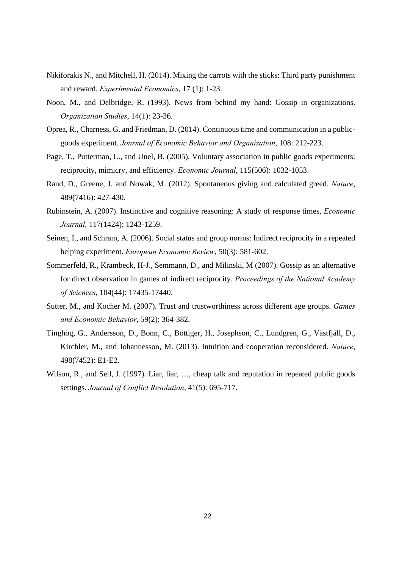- Nikiforakis N., and Mitchell, H. (2014). Mixing the carrots with the sticks: Third party punishment and reward. *Experimental Economics*, 17 (1): 1-23.
- Noon, M., and Delbridge, R. (1993). News from behind my hand: Gossip in organizations. *Organization Studies*, 14(1): 23-36.
- Oprea, R., Charness, G. and Friedman, D. (2014). Continuous time and communication in a publicgoods experiment. *Journal of Economic Behavior and Organization*, 108: 212-223.
- Page, T., Putterman, L., and Unel, B. (2005). Voluntary association in public goods experiments: reciprocity, mimicry, and efficiency. *Economic Journal*, 115(506): 1032-1053.
- Rand, D., Greene, J. and Nowak, M. (2012). Spontaneous giving and calculated greed. *Nature*, 489(7416): 427-430.
- Rubinstein, A. (2007). Instinctive and cognitive reasoning: A study of response times, *Economic Journal*, 117(1424): 1243-1259.
- Seinen, I., and Schram, A. (2006). Social status and group norms: Indirect reciprocity in a repeated helping experiment. *European Economic Review*, 50(3): 581-602.
- Sommerfeld, R., Krambeck, H-J., Semmann, D., and Milinski, M (2007). Gossip as an alternative for direct observation in games of indirect reciprocity. *Proceedings of the National Academy of Sciences*, 104(44): 17435-17440.
- Sutter, M., and Kocher M. (2007). Trust and trustworthiness across different age groups. *Games and Economic Behavior*, 59(2): 364-382.
- Tinghög, G., Andersson, D., Bonn, C., Böttiger, H., Josephson, C., Lundgren, G., Västfjäll, D., Kirchler, M., and Johannesson, M. (2013). Intuition and cooperation reconsidered. *Nature*, 498(7452): E1-E2.
- Wilson, R., and Sell, J. (1997). Liar, liar, ..., cheap talk and reputation in repeated public goods settings. *Journal of Conflict Resolution*, 41(5): 695-717.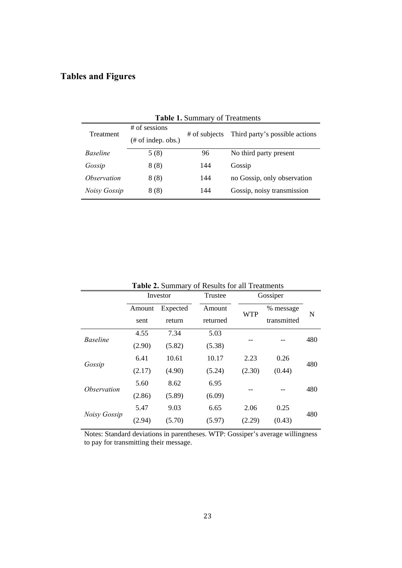### **Tables and Figures**

| $\ldots$<br>$\sigma$ . Treathers |                     |               |                                |  |  |
|----------------------------------|---------------------|---------------|--------------------------------|--|--|
| Treatment                        | $#$ of sessions     | # of subjects | Third party's possible actions |  |  |
|                                  | $#$ of indep. obs.) |               |                                |  |  |
| <b>Baseline</b>                  | 5(8)                | 96            | No third party present         |  |  |
| Gossip                           | 8(8)                | 144           | Gossip                         |  |  |
| <i><b>Observation</b></i>        | 8(8)                | 144           | no Gossip, only observation    |  |  |
| Noisy Gossip                     | 8(8)                | 144           | Gossip, noisy transmission     |  |  |
|                                  |                     |               |                                |  |  |

**Table 1.** Summary of Treatments

| <b>Table 2. Summary of Results for all Treatments</b> |          |          |          |            |             |     |
|-------------------------------------------------------|----------|----------|----------|------------|-------------|-----|
|                                                       | Investor |          | Trustee  |            | Gossiper    |     |
|                                                       | Amount   | Expected | Amount   |            | % message   |     |
|                                                       | sent     | return   | returned | <b>WTP</b> | transmitted | N   |
| <b>Baseline</b>                                       | 4.55     | 7.34     | 5.03     |            |             | 480 |
|                                                       | (2.90)   | (5.82)   | (5.38)   |            |             |     |
| Gossip                                                | 6.41     | 10.61    | 10.17    | 2.23       | 0.26        | 480 |
|                                                       | (2.17)   | (4.90)   | (5.24)   | (2.30)     | (0.44)      |     |
| <i><b>Observation</b></i>                             | 5.60     | 8.62     | 6.95     |            |             | 480 |
|                                                       | (2.86)   | (5.89)   | (6.09)   |            |             |     |
| Noisy Gossip                                          | 5.47     | 9.03     | 6.65     | 2.06       | 0.25        |     |
|                                                       | (2.94)   | (5.70)   | (5.97)   | (2.29)     | (0.43)      | 480 |

**Table 2.** Summary of Results for all Treatments

Notes: Standard deviations in parentheses. WTP: Gossiper's average willingness to pay for transmitting their message.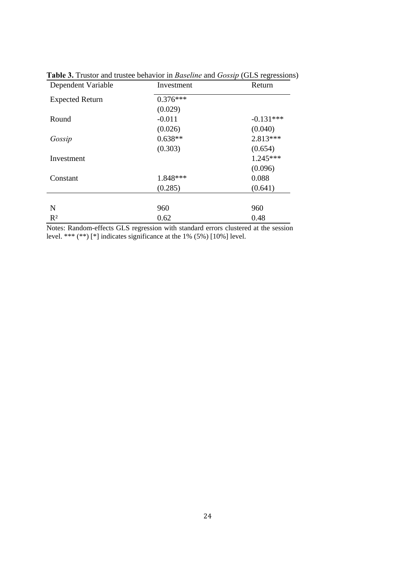| Dependent Variable     | Investment | Return      |
|------------------------|------------|-------------|
| <b>Expected Return</b> | $0.376***$ |             |
|                        | (0.029)    |             |
| Round                  | $-0.011$   | $-0.131***$ |
|                        | (0.026)    | (0.040)     |
| Gossip                 | $0.638**$  | $2.813***$  |
|                        | (0.303)    | (0.654)     |
| Investment             |            | $1.245***$  |
|                        |            | (0.096)     |
| Constant               | 1.848***   | 0.088       |
|                        | (0.285)    | (0.641)     |
|                        |            |             |
| N                      | 960        | 960         |
| $R^2$                  | 0.62       | 0.48        |

**Table 3.** Trustor and trustee behavior in *Baseline* and *Gossip* (GLS regressions)

Notes: Random-effects GLS regression with standard errors clustered at the session level. \*\*\*  $(**)$  [\*] indicates significance at the 1% (5%) [10%] level.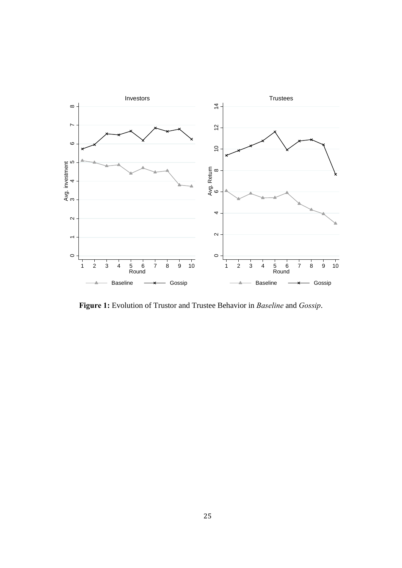

**Figure 1:** Evolution of Trustor and Trustee Behavior in *Baseline* and *Gossip*.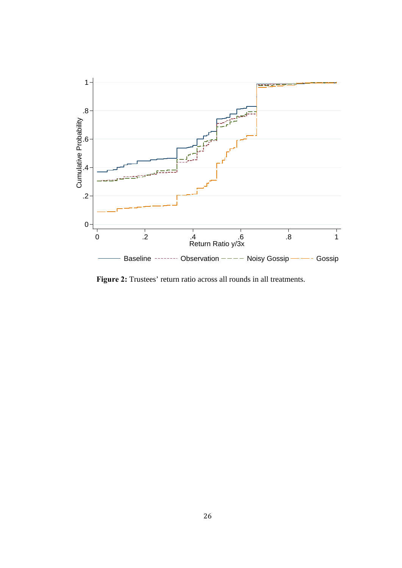

**Figure 2:** Trustees' return ratio across all rounds in all treatments.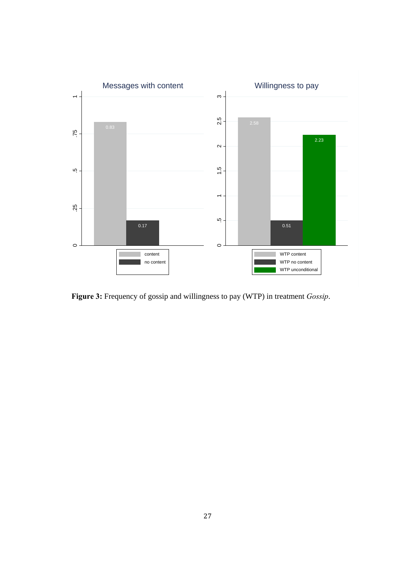

**Figure 3:** Frequency of gossip and willingness to pay (WTP) in treatment *Gossip*.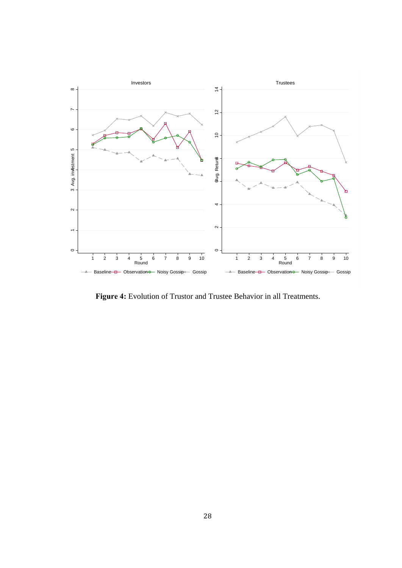

**Figure 4:** Evolution of Trustor and Trustee Behavior in all Treatments.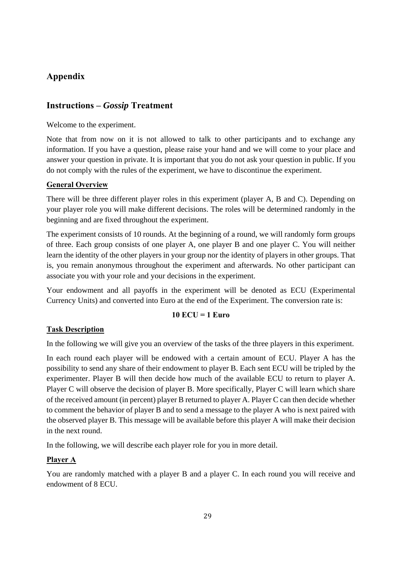### **Appendix**

### **Instructions –** *Gossip* **Treatment**

Welcome to the experiment.

Note that from now on it is not allowed to talk to other participants and to exchange any information. If you have a question, please raise your hand and we will come to your place and answer your question in private. It is important that you do not ask your question in public. If you do not comply with the rules of the experiment, we have to discontinue the experiment.

### **General Overview**

There will be three different player roles in this experiment (player A, B and C). Depending on your player role you will make different decisions. The roles will be determined randomly in the beginning and are fixed throughout the experiment.

The experiment consists of 10 rounds. At the beginning of a round, we will randomly form groups of three. Each group consists of one player A, one player B and one player C. You will neither learn the identity of the other players in your group nor the identity of players in other groups. That is, you remain anonymous throughout the experiment and afterwards. No other participant can associate you with your role and your decisions in the experiment.

Your endowment and all payoffs in the experiment will be denoted as ECU (Experimental Currency Units) and converted into Euro at the end of the Experiment. The conversion rate is:

### **10 ECU = 1 Euro**

### **Task Description**

In the following we will give you an overview of the tasks of the three players in this experiment.

In each round each player will be endowed with a certain amount of ECU. Player A has the possibility to send any share of their endowment to player B. Each sent ECU will be tripled by the experimenter. Player B will then decide how much of the available ECU to return to player A. Player C will observe the decision of player B. More specifically, Player C will learn which share of the received amount (in percent) player B returned to player A. Player C can then decide whether to comment the behavior of player B and to send a message to the player A who is next paired with the observed player B. This message will be available before this player A will make their decision in the next round.

In the following, we will describe each player role for you in more detail.

### **Player A**

You are randomly matched with a player B and a player C. In each round you will receive and endowment of 8 ECU.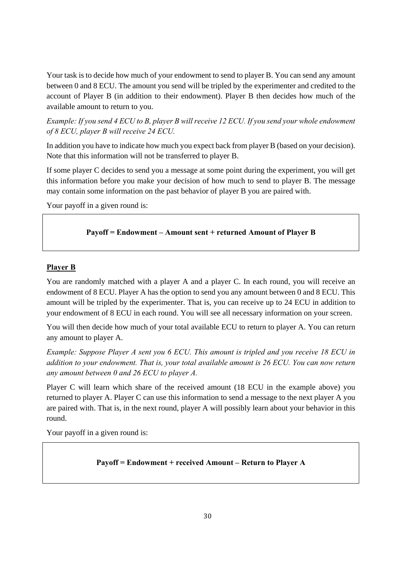Your task is to decide how much of your endowment to send to player B. You can send any amount between 0 and 8 ECU. The amount you send will be tripled by the experimenter and credited to the account of Player B (in addition to their endowment). Player B then decides how much of the available amount to return to you.

*Example: If you send 4 ECU to B, player B will receive 12 ECU. If you send your whole endowment of 8 ECU, player B will receive 24 ECU.* 

In addition you have to indicate how much you expect back from player B (based on your decision). Note that this information will not be transferred to player B.

If some player C decides to send you a message at some point during the experiment, you will get this information before you make your decision of how much to send to player B. The message may contain some information on the past behavior of player B you are paired with.

Your payoff in a given round is:

### **Payoff = Endowment – Amount sent + returned Amount of Player B**

#### **Player B**

You are randomly matched with a player A and a player C. In each round, you will receive an endowment of 8 ECU. Player A has the option to send you any amount between 0 and 8 ECU. This amount will be tripled by the experimenter. That is, you can receive up to 24 ECU in addition to your endowment of 8 ECU in each round. You will see all necessary information on your screen.

You will then decide how much of your total available ECU to return to player A. You can return any amount to player A.

*Example: Suppose Player A sent you 6 ECU. This amount is tripled and you receive 18 ECU in addition to your endowment. That is, your total available amount is 26 ECU. You can now return any amount between 0 and 26 ECU to player A.* 

Player C will learn which share of the received amount (18 ECU in the example above) you returned to player A. Player C can use this information to send a message to the next player A you are paired with. That is, in the next round, player A will possibly learn about your behavior in this round.

Your payoff in a given round is:

### **Payoff = Endowment + received Amount – Return to Player A**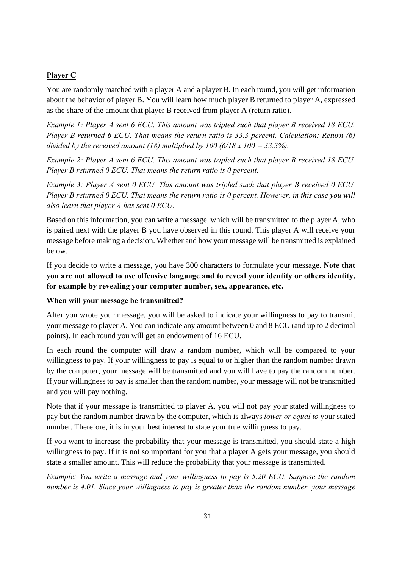### **Player C**

You are randomly matched with a player A and a player B. In each round, you will get information about the behavior of player B. You will learn how much player B returned to player A, expressed as the share of the amount that player B received from player A (return ratio).

*Example 1: Player A sent 6 ECU. This amount was tripled such that player B received 18 ECU. Player B returned 6 ECU. That means the return ratio is 33.3 percent. Calculation: Return (6) divided by the received amount (18) multiplied by 100 (6/18 x 100 = 33.3%).* 

*Example 2: Player A sent 6 ECU. This amount was tripled such that player B received 18 ECU. Player B returned 0 ECU. That means the return ratio is 0 percent.* 

*Example 3: Player A sent 0 ECU. This amount was tripled such that player B received 0 ECU. Player B returned 0 ECU. That means the return ratio is 0 percent. However, in this case you will also learn that player A has sent 0 ECU.* 

Based on this information, you can write a message, which will be transmitted to the player A, who is paired next with the player B you have observed in this round. This player A will receive your message before making a decision. Whether and how your message will be transmitted is explained below.

If you decide to write a message, you have 300 characters to formulate your message. **Note that you are not allowed to use offensive language and to reveal your identity or others identity, for example by revealing your computer number, sex, appearance, etc.** 

### **When will your message be transmitted?**

After you wrote your message, you will be asked to indicate your willingness to pay to transmit your message to player A. You can indicate any amount between 0 and 8 ECU (and up to 2 decimal points). In each round you will get an endowment of 16 ECU.

In each round the computer will draw a random number, which will be compared to your willingness to pay. If your willingness to pay is equal to or higher than the random number drawn by the computer, your message will be transmitted and you will have to pay the random number. If your willingness to pay is smaller than the random number, your message will not be transmitted and you will pay nothing.

Note that if your message is transmitted to player A, you will not pay your stated willingness to pay but the random number drawn by the computer, which is always *lower or equal to* your stated number. Therefore, it is in your best interest to state your true willingness to pay.

If you want to increase the probability that your message is transmitted, you should state a high willingness to pay. If it is not so important for you that a player A gets your message, you should state a smaller amount. This will reduce the probability that your message is transmitted.

*Example: You write a message and your willingness to pay is 5.20 ECU. Suppose the random number is 4.01. Since your willingness to pay is greater than the random number, your message*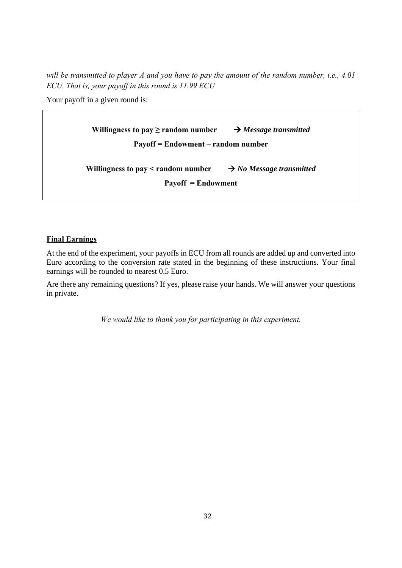*will be transmitted to player A and you have to pay the amount of the random number, i.e., 4.01 ECU. That is, your payoff in this round is 11.99 ECU* 

Your payoff in a given round is:

| Willingness to pay $\geq$ random number $\rightarrow$ Message transmitted |                                      |  |  |  |
|---------------------------------------------------------------------------|--------------------------------------|--|--|--|
| Payoff = Endowment – random number                                        |                                      |  |  |  |
|                                                                           |                                      |  |  |  |
| Willingness to pay < random number<br>$Payoff = Endowment$                | $\rightarrow$ No Message transmitted |  |  |  |
|                                                                           |                                      |  |  |  |

### **Final Earnings**

At the end of the experiment, your payoffs in ECU from all rounds are added up and converted into Euro according to the conversion rate stated in the beginning of these instructions. Your final earnings will be rounded to nearest 0.5 Euro.

Are there any remaining questions? If yes, please raise your hands. We will answer your questions in private.

*We would like to thank you for participating in this experiment.*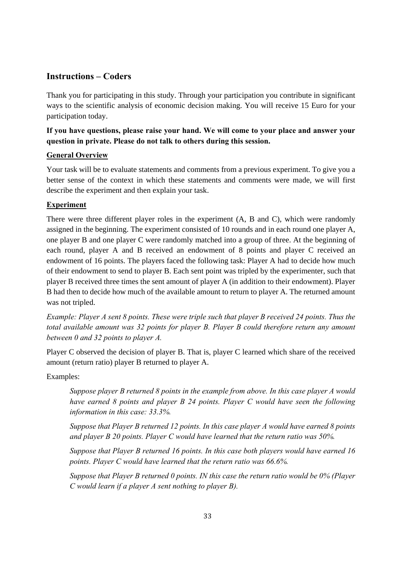### **Instructions – Coders**

Thank you for participating in this study. Through your participation you contribute in significant ways to the scientific analysis of economic decision making. You will receive 15 Euro for your participation today.

### **If you have questions, please raise your hand. We will come to your place and answer your question in private. Please do not talk to others during this session.**

### **General Overview**

Your task will be to evaluate statements and comments from a previous experiment. To give you a better sense of the context in which these statements and comments were made, we will first describe the experiment and then explain your task.

### **Experiment**

There were three different player roles in the experiment (A, B and C), which were randomly assigned in the beginning. The experiment consisted of 10 rounds and in each round one player A, one player B and one player C were randomly matched into a group of three. At the beginning of each round, player A and B received an endowment of 8 points and player C received an endowment of 16 points. The players faced the following task: Player A had to decide how much of their endowment to send to player B. Each sent point was tripled by the experimenter, such that player B received three times the sent amount of player A (in addition to their endowment). Player B had then to decide how much of the available amount to return to player A. The returned amount was not tripled.

*Example: Player A sent 8 points. These were triple such that player B received 24 points. Thus the total available amount was 32 points for player B. Player B could therefore return any amount between 0 and 32 points to player A.* 

Player C observed the decision of player B. That is, player C learned which share of the received amount (return ratio) player B returned to player A.

Examples:

*Suppose player B returned 8 points in the example from above. In this case player A would have earned 8 points and player B 24 points. Player C would have seen the following information in this case: 33.3%.* 

*Suppose that Player B returned 12 points. In this case player A would have earned 8 points and player B 20 points. Player C would have learned that the return ratio was 50%.* 

*Suppose that Player B returned 16 points. In this case both players would have earned 16 points. Player C would have learned that the return ratio was 66.6%.* 

*Suppose that Player B returned 0 points. IN this case the return ratio would be 0% (Player C would learn if a player A sent nothing to player B).*